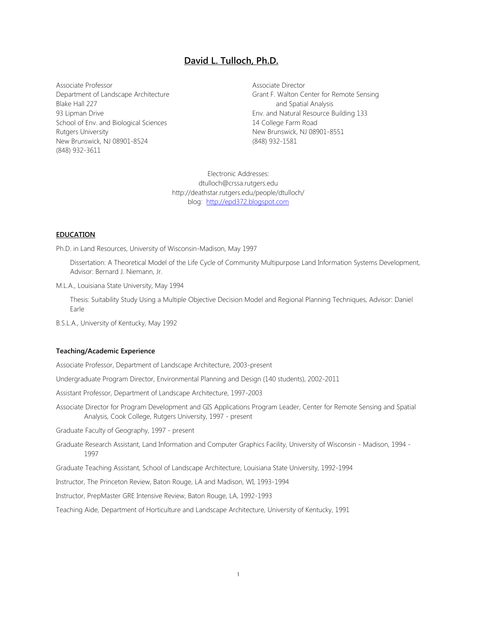# **David L. Tulloch, Ph.D.**

Associate Professor Department of Landscape Architecture Blake Hall 227 93 Lipman Drive School of Env. and Biological Sciences Rutgers University New Brunswick, NJ 08901-8524 (848) 932-3611

Associate Director Grant F. Walton Center for Remote Sensing and Spatial Analysis Env. and Natural Resource Building 133 14 College Farm Road New Brunswick, NJ 08901-8551 (848) 932-1581

Electronic Addresses: dtulloch@crssa.rutgers.edu http://deathstar.rutgers.edu/people/dtulloch/ blog: [http://epd372.blogspot.com](http://epd372.blogspot.com/)

#### **EDUCATION**

Ph.D. in Land Resources, University of Wisconsin-Madison, May 1997

Dissertation: A Theoretical Model of the Life Cycle of Community Multipurpose Land Information Systems Development, Advisor: Bernard J. Niemann, Jr.

M.L.A., Louisiana State University, May 1994

Thesis: Suitability Study Using a Multiple Objective Decision Model and Regional Planning Techniques, Advisor: Daniel Earle

B.S.L.A., University of Kentucky, May 1992

# **Teaching/Academic Experience**

Associate Professor, Department of Landscape Architecture, 2003-present

Undergraduate Program Director, Environmental Planning and Design (140 students), 2002-2011

Assistant Professor, Department of Landscape Architecture, 1997-2003

Associate Director for Program Development and GIS Applications Program Leader, Center for Remote Sensing and Spatial Analysis, Cook College, Rutgers University, 1997 - present

Graduate Faculty of Geography, 1997 - present

Graduate Research Assistant, Land Information and Computer Graphics Facility, University of Wisconsin - Madison, 1994 - 1997

Graduate Teaching Assistant, School of Landscape Architecture, Louisiana State University, 1992-1994

Instructor, The Princeton Review, Baton Rouge, LA and Madison, WI, 1993-1994

Instructor, PrepMaster GRE Intensive Review, Baton Rouge, LA, 1992-1993

Teaching Aide, Department of Horticulture and Landscape Architecture, University of Kentucky, 1991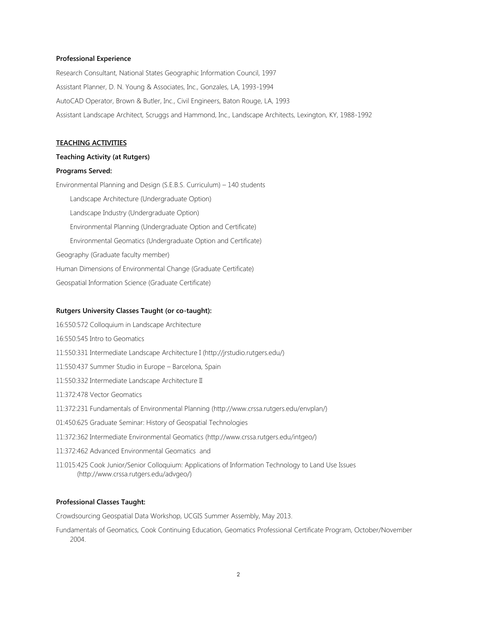### **Professional Experience**

Research Consultant, National States Geographic Information Council, 1997 Assistant Planner, D. N. Young & Associates, Inc., Gonzales, LA, 1993-1994 AutoCAD Operator, Brown & Butler, Inc., Civil Engineers, Baton Rouge, LA, 1993 Assistant Landscape Architect, Scruggs and Hammond, Inc., Landscape Architects, Lexington, KY, 1988-1992

# **TEACHING ACTIVITIES**

## **Teaching Activity (at Rutgers)**

#### **Programs Served:**

Environmental Planning and Design (S.E.B.S. Curriculum) – 140 students Landscape Architecture (Undergraduate Option) Landscape Industry (Undergraduate Option) Environmental Planning (Undergraduate Option and Certificate) Environmental Geomatics (Undergraduate Option and Certificate) Geography (Graduate faculty member) Human Dimensions of Environmental Change (Graduate Certificate) Geospatial Information Science (Graduate Certificate)

#### **Rutgers University Classes Taught (or co-taught):**

- 16:550:572 Colloquium in Landscape Architecture 16:550:545 Intro to Geomatics 11:550:331 Intermediate Landscape Architecture I (http://jrstudio.rutgers.edu/) 11:550:437 Summer Studio in Europe – Barcelona, Spain 11:550:332 Intermediate Landscape Architecture II 11:372:478 Vector Geomatics 11:372:231 Fundamentals of Environmental Planning (http://www.crssa.rutgers.edu/envplan/) 01:450:625 Graduate Seminar: History of Geospatial Technologies 11:372:362 Intermediate Environmental Geomatics (http://www.crssa.rutgers.edu/intgeo/) 11:372:462 Advanced Environmental Geomatics and
- 11:015:425 Cook Junior/Senior Colloquium: Applications of Information Technology to Land Use Issues (http://www.crssa.rutgers.edu/advgeo/)

# **Professional Classes Taught:**

Crowdsourcing Geospatial Data Workshop, UCGIS Summer Assembly, May 2013.

Fundamentals of Geomatics, Cook Continuing Education, Geomatics Professional Certificate Program, October/November 2004.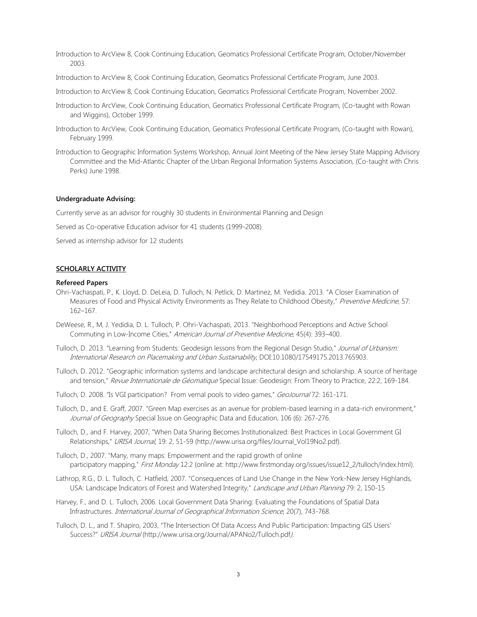Introduction to ArcView 8, Cook Continuing Education, Geomatics Professional Certificate Program, October/November 2003.

Introduction to ArcView 8, Cook Continuing Education, Geomatics Professional Certificate Program, June 2003.

Introduction to ArcView 8, Cook Continuing Education, Geomatics Professional Certificate Program, November 2002.

- Introduction to ArcView, Cook Continuing Education, Geomatics Professional Certificate Program, (Co-taught with Rowan and Wiggins), October 1999.
- Introduction to ArcView, Cook Continuing Education, Geomatics Professional Certificate Program, (Co-taught with Rowan), February 1999.
- Introduction to Geographic Information Systems Workshop, Annual Joint Meeting of the New Jersey State Mapping Advisory Committee and the Mid-Atlantic Chapter of the Urban Regional Information Systems Association, (Co-taught with Chris Perks) June 1998.

# **Undergraduate Advising:**

Currently serve as an advisor for roughly 30 students in Environmental Planning and Design

Served as Co-operative Education advisor for 41 students (1999-2008)

Served as internship advisor for 12 students

# **SCHOLARLY ACTIVITY**

# **Refereed Papers**

- Ohri-Vachaspati, P., K. Lloyd, D. DeLeia, D. Tulloch, N. Petlick, D. Martinez, M. Yedidia. 2013. "A Closer Examination of Measures of Food and Physical Activity Environments as They Relate to Childhood Obesity," Preventive Medicine, 57: 162–167.
- DeWeese, R., M, J. Yedidia, D. L. Tulloch, P. Ohri-Vachaspati, 2013. "Neighborhood Perceptions and Active School Commuting in Low-Income Cities," American Journal of Preventive Medicine, 45(4): 393–400.
- Tulloch, D. 2013. "Learning from Students: Geodesign lessons from the Regional Design Studio," Journal of Urbanism: International Research on Placemaking and Urban Sustainability, DOI:10.1080/17549175.2013.765903.
- Tulloch, D. 2012. "Geographic information systems and landscape architectural design and scholarship. A source of heritage and tension," Revue Internationale de Géomatique Special Issue: Geodesign: From Theory to Practice, 22:2, 169-184.
- Tulloch, D. 2008. "Is VGI participation? From vernal pools to video games," GeoJournal 72: 161-171.
- Tulloch, D., and E. Graff, 2007. "Green Map exercises as an avenue for problem-based learning in a data-rich environment," Journal of Geography Special Issue on Geographic Data and Education, 106 (6): 267-276.

Tulloch, D., and F. Harvey, 2007, "When Data Sharing Becomes Institutionalized: Best Practices in Local Government GI Relationships," URISA Journal, 19: 2, 51-59 (http://www.urisa.org/files/Journal\_Vol19No2.pdf).

- Tulloch, D., 2007. "Many, many maps: Empowerment and the rapid growth of online participatory mapping," First Monday 12:2 (online at: http://www.firstmonday.org/issues/issue12\_2/tulloch/index.html).
- Lathrop, R.G., D. L. Tulloch, C. Hatfield, 2007. "Consequences of Land Use Change in the New York-New Jersey Highlands, USA: Landscape Indicators of Forest and Watershed Integrity," Landscape and Urban Planning 79: 2, 150-15
- Harvey, F., and D. L. Tulloch, 2006. Local Government Data Sharing: Evaluating the Foundations of Spatial Data Infrastructures. International Journal of Geographical Information Science, 20(7), 743-768.
- Tulloch, D. L., and T. Shapiro, 2003, "The Intersection Of Data Access And Public Participation: Impacting GIS Users' Success?" URISA Journal (http://www.urisa.org/Journal/APANo2/Tulloch.pdf).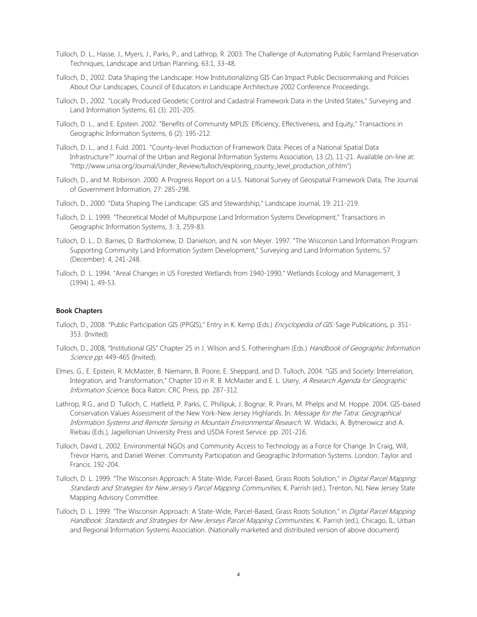- Tulloch, D. L., Hasse, J., Myers, J., Parks, P., and Lathrop, R. 2003. The Challenge of Automating Public Farmland Preservation Techniques, Landscape and Urban Planning, 63:1, 33-48.
- Tulloch, D., 2002. Data Shaping the Landscape: How Institutionalizing GIS Can Impact Public Decisionmaking and Policies About Our Landscapes, Council of Educators in Landscape Architecture 2002 Conference Proceedings.
- Tulloch, D., 2002. "Locally Produced Geodetic Control and Cadastral Framework Data in the United States," Surveying and Land Information Systems, 61 (3): 201-205.
- Tulloch, D. L., and E. Epstein. 2002. "Benefits of Community MPLIS: Efficiency, Effectiveness, and Equity," Transactions in Geographic Information Systems, 6 (2): 195-212.
- Tulloch, D. L., and J. Fuld. 2001. "County-level Production of Framework Data: Pieces of a National Spatial Data Infrastructure?" Journal of the Urban and Regional Information Systems Association, 13 (2), 11-21. Available on-line at: "http://www.urisa.org/Journal/Under\_Review/tulloch/exploring\_county\_level\_production\_of.htm")
- Tulloch, D., and M. Robinson. 2000. A Progress Report on a U.S. National Survey of Geospatial Framework Data, The Journal of Government Information, 27: 285-298.
- Tulloch, D., 2000. "Data Shaping The Landscape: GIS and Stewardship," Landscape Journal, 19: 211-219.
- Tulloch, D. L. 1999. "Theoretical Model of Multipurpose Land Information Systems Development," Transactions in Geographic Information Systems, 3: 3, 259-83.
- Tulloch, D. L., D. Barnes, D. Bartholomew, D. Danielson, and N. von Meyer. 1997. "The Wisconsin Land Information Program: Supporting Community Land Information System Development," Surveying and Land Information Systems, 57 (December): 4, 241-248.
- Tulloch, D. L. 1994. "Areal Changes in US Forested Wetlands from 1940-1990," Wetlands Ecology and Management, 3 (1994) 1, 49-53.

# **Book Chapters**

- Tulloch, D., 2008. "Public Participation GIS (PPGIS)," Entry in K. Kemp (Eds.) *Encyclopedia of GIS:* Sage Publications, p. 351-353. (Invited)
- Tulloch, D., 2008, "Institutional GIS" Chapter 25 in J. Wilson and S. Fotheringham (Eds.) Handbook of Geographic Information Science pp. 449-465 (Invited).
- Elmes, G., E. Epstein, R. McMaster, B. Niemann, B. Poore, E. Sheppard, and D. Tulloch, 2004. "GIS and Society: Interrelation, Integration, and Transformation," Chapter 10 in R. B. McMaster and E. L. Usery, A Research Agenda for Geographic Information Science, Boca Raton: CRC Press, pp. 287-312.
- Lathrop, R.G., and D. Tulloch, C. Hatfield, P. Parks, C. Phillipuk, J. Bognar, R. Pirani, M. Phelps and M. Hoppe. 2004. GIS-based Conservation Values Assessment of the New York-New Jersey Highlands. In: Message for the Tatra: Geographical Information Systems and Remote Sensing in Mountain Environmental Research. W. Widacki, A. Bytnerowicz and A. Riebau (Eds.), Jagiellonian University Press and USDA Forest Service. pp. 201-216.
- Tulloch, David L. 2002. Environmental NGOs and Community Access to Technology as a Force for Change. In Craig, Will, Trevor Harris, and Daniel Weiner. Community Participation and Geographic Information Systems. London: Taylor and Francis. 192-204.
- Tulloch, D. L. 1999. "The Wisconsin Approach: A State-Wide, Parcel-Based, Grass Roots Solution," in Digital Parcel Mapping: Standards and Strategies for New Jersey's Parcel Mapping Communities, K. Parrish (ed.), Trenton, NJ, New Jersey State Mapping Advisory Committee.
- Tulloch, D. L. 1999. "The Wisconsin Approach: A State-Wide, Parcel-Based, Grass Roots Solution," in *Digital Parcel Mapping* Handbook: Standards and Strategies for New Jerseys Parcel Mapping Communities, K. Parrish (ed.), Chicago, IL, Urban and Regional Information Systems Association. (Nationally marketed and distributed version of above document)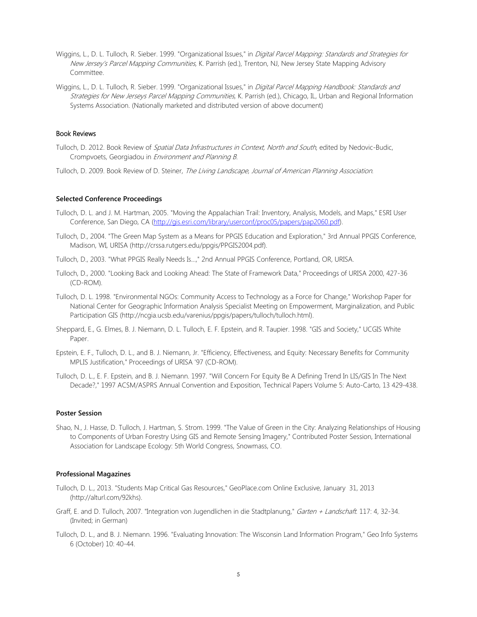- Wiggins, L., D. L. Tulloch, R. Sieber. 1999. "Organizational Issues," in Digital Parcel Mapping: Standards and Strategies for New Jersey's Parcel Mapping Communities, K. Parrish (ed.), Trenton, NJ, New Jersey State Mapping Advisory Committee.
- Wiggins, L., D. L. Tulloch, R. Sieber. 1999. "Organizational Issues," in Digital Parcel Mapping Handbook: Standards and Strategies for New Jerseys Parcel Mapping Communities, K. Parrish (ed.), Chicago, IL, Urban and Regional Information Systems Association. (Nationally marketed and distributed version of above document)

# Book Reviews

- Tulloch, D. 2012. Book Review of *Spatial Data Infrastructures in Context, North and South*, edited by Nedovic-Budic, Crompvoets, Georgiadou in Environment and Planning B.
- Tulloch, D. 2009. Book Review of D. Steiner, The Living Landscape, Journal of American Planning Association.

#### **Selected Conference Proceedings**

- Tulloch, D. L. and J. M. Hartman, 2005. "Moving the Appalachian Trail: Inventory, Analysis, Models, and Maps," ESRI User Conference, San Diego, CA [\(http://gis.esri.com/library/userconf/proc05/papers/pap2060.pdf\)](http://www.crssa.rutgers.edu/horde/util/go.php?url=http%3A%2F%2Fgis.esri.com%2Flibrary%2Fuserconf%2Fproc05%2Fpapers%2Fpap2060.pdf&Horde=1e3304d4f1c4a0d5823d6fc8509062a6).
- Tulloch, D., 2004. "The Green Map System as a Means for PPGIS Education and Exploration," 3rd Annual PPGIS Conference, Madison, WI, URISA (http://crssa.rutgers.edu/ppgis/PPGIS2004.pdf).
- Tulloch, D., 2003. ["What PPGIS Really Needs Is...,"](file:///C:/Users/dtulloch/Documents/Local%20Settings/Temporary%20Internet%20Files/OLK19/http|/deathstar.rutgers.edu/ppgis/Tulloch.PPGIS.2003.htm) 2nd Annual PPGIS Conference, Portland, OR, URISA.
- Tulloch, D., 2000. "Looking Back and Looking Ahead: The State of Framework Data," Proceedings of URISA 2000, 427-36 (CD-ROM).
- Tulloch, D. L. 1998. "Environmental NGOs: Community Access to Technology as a Force for Change," Workshop Paper for National Center for Geographic Information Analysis Specialist Meeting on Empowerment, Marginalization, and Public Participation GIS (http://ncgia.ucsb.edu/varenius/ppgis/papers/tulloch/tulloch.html).
- Sheppard, E., G. Elmes, B. J. Niemann, D. L. Tulloch, E. F. Epstein, and R. Taupier. 1998. "GIS and Society," UCGIS White Paper.
- Epstein, E. F., Tulloch, D. L., and B. J. Niemann, Jr. "Efficiency, Effectiveness, and Equity: Necessary Benefits for Community MPLIS Justification," Proceedings of URISA '97 (CD-ROM).
- Tulloch, D. L., E. F. Epstein, and B. J. Niemann. 1997. "Will Concern For Equity Be A Defining Trend In LIS/GIS In The Next Decade?," 1997 ACSM/ASPRS Annual Convention and Exposition, Technical Papers Volume 5: Auto-Carto, 13 429-438.

#### **Poster Session**

Shao, N., J. Hasse, D. Tulloch, J. Hartman, S. Strom. 1999. "The Value of Green in the City: Analyzing Relationships of Housing to Components of Urban Forestry Using GIS and Remote Sensing Imagery," Contributed Poster Session, International Association for Landscape Ecology: 5th World Congress, Snowmass, CO.

### **Professional Magazines**

- Tulloch, D. L., 2013. "Students Map Critical Gas Resources," GeoPlace.com Online Exclusive, January 31, 2013 (http://alturl.com/92khs).
- Graff, E. and D. Tulloch, 2007. "Integration von Jugendlichen in die Stadtplanung," Garten + Landschaft. 117: 4, 32-34. (Invited; in German)
- Tulloch, D. L., and B. J. Niemann. 1996. "Evaluating Innovation: The Wisconsin Land Information Program," Geo Info Systems 6 (October) 10: 40-44.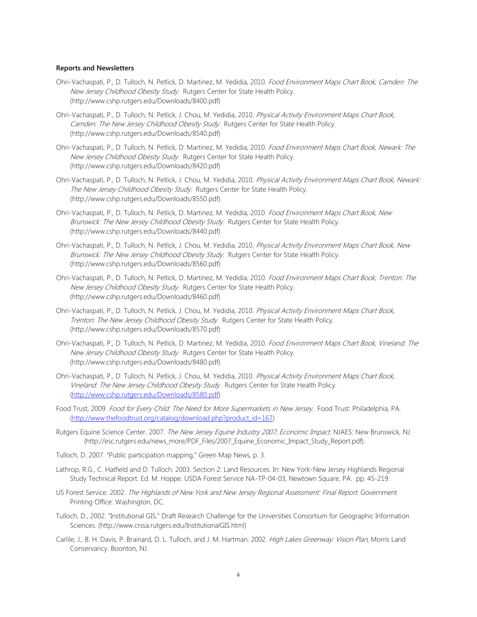# **Reports and Newsletters**

- Ohri-Vachaspati, P., D. Tulloch, N. Petlick, D. Martinez, M. Yedidia, 2010. Food Environment Maps Chart Book, Camden: The New Jersey Childhood Obesity Study. Rutgers Center for State Health Policy. (http://www.cshp.rutgers.edu/Downloads/8400.pdf)
- Ohri-Vachaspati, P., D. Tulloch, N. Petlick, J. Chou, M. Yedidia, 2010. Physical Activity Environment Maps Chart Book, Camden: The New Jersey Childhood Obesity Study. Rutgers Center for State Health Policy. (http://www.cshp.rutgers.edu/Downloads/8540.pdf)
- Ohri-Vachaspati, P., D. Tulloch, N. Petlick, D. Martinez, M. Yedidia, 2010. Food Environment Maps Chart Book, Newark: The New Jersey Childhood Obesity Study. Rutgers Center for State Health Policy. (http://www.cshp.rutgers.edu/Downloads/8420.pdf)
- Ohri-Vachaspati, P., D. Tulloch, N. Petlick, J. Chou, M. Yedidia, 2010. Physical Activity Environment Maps Chart Book, Newark: The New Jersey Childhood Obesity Study. Rutgers Center for State Health Policy. (http://www.cshp.rutgers.edu/Downloads/8550.pdf)
- Ohri-Vachaspati, P., D. Tulloch, N. Petlick, D. Martinez, M. Yedidia, 2010. Food Environment Maps Chart Book, New Brunswick: The New Jersey Childhood Obesity Study. Rutgers Center for State Health Policy. (http://www.cshp.rutgers.edu/Downloads/8440.pdf)
- Ohri-Vachaspati, P., D. Tulloch, N. Petlick, J. Chou, M. Yedidia, 2010. Physical Activity Environment Maps Chart Book, New Brunswick: The New Jersey Childhood Obesity Study. Rutgers Center for State Health Policy. (http://www.cshp.rutgers.edu/Downloads/8560.pdf)
- Ohri-Vachaspati, P., D. Tulloch, N. Petlick, D. Martinez, M. Yedidia, 2010. Food Environment Maps Chart Book, Trenton: The New Jersey Childhood Obesity Study. Rutgers Center for State Health Policy. (http://www.cshp.rutgers.edu/Downloads/8460.pdf)
- Ohri-Vachaspati, P., D. Tulloch, N. Petlick, J. Chou, M. Yedidia, 2010. Physical Activity Environment Maps Chart Book, Trenton: The New Jersey Childhood Obesity Study. Rutgers Center for State Health Policy. (http://www.cshp.rutgers.edu/Downloads/8570.pdf)
- Ohri-Vachaspati, P., D. Tulloch, N. Petlick, D. Martinez, M. Yedidia, 2010. Food Environment Maps Chart Book, Vineland: The New Jersey Childhood Obesity Study. Rutgers Center for State Health Policy. (http://www.cshp.rutgers.edu/Downloads/8480.pdf)
- Ohri-Vachaspati, P., D. Tulloch, N. Petlick, J. Chou, M. Yedidia, 2010. Physical Activity Environment Maps Chart Book, Vineland: The New Jersey Childhood Obesity Study. Rutgers Center for State Health Policy. [\(http://www.cshp.rutgers.edu/Downloads/8580.pdf\)](http://www.cshp.rutgers.edu/Downloads/8580.pdf)
- Food Trust, 2009. Food for Every Child: The Need for More Supermarkets in New Jersey. Food Trust: Philadelphia, PA. [\(http://www.thefoodtrust.org/catalog/download.php?product\\_id=167\)](http://www.thefoodtrust.org/catalog/download.php?product_id=167)
- Rutgers Equine Science Center. 2007. The New Jersey Equine Industry 2007; Economic Impact. NJAES: New Brunswick, NJ (http://esc.rutgers.edu/news\_more/PDF\_Files/2007\_Equine\_Economic\_Impact\_Study\_Report.pdf).
- Tulloch, D. 2007. "Public participation mapping," Green Map News, p. 3.
- Lathrop, R.G., C. Hatfield and D. Tulloch. 2003. Section 2: Land Resources. In: New York-New Jersey Highlands Regional Study Technical Report. Ed. M. Hoppe. USDA Forest Service NA-TP-04-03, Newtown Square, PA. pp. 45-219.
- US Forest Service. 2002. The Highlands of New York and New Jersey Regional Assessment: Final Report. Government Printing Office: Washington, DC.
- Tulloch, D., 2002. "Institutional GIS," Draft Research Challenge for the Universities Consortium for Geographic Information Sciences. (http://www.crssa.rutgers.edu/InstitutionalGIS.html)
- Carlile, J., B. H. Davis, P. Brainard, D. L. Tulloch, and J. M. Hartman. 2002. High Lakes Greenway: Vision Plan, Morris Land Conservancy. Boonton, NJ.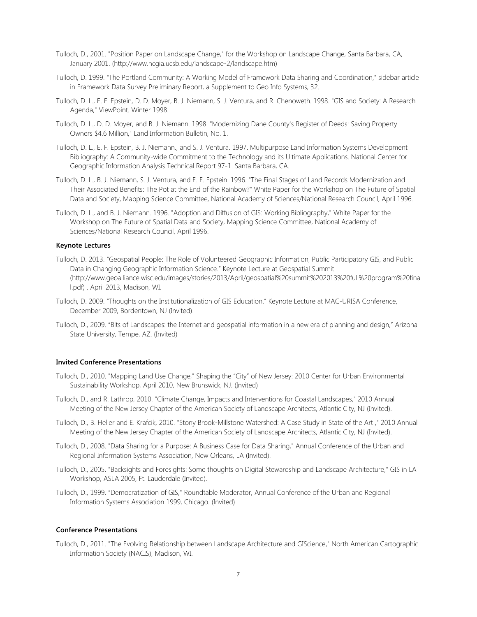- Tulloch, D., 2001. "Position Paper on Landscape Change," for the Workshop on Landscape Change, Santa Barbara, CA, January 2001. (http://www.ncgia.ucsb.edu/landscape-2/landscape.htm)
- Tulloch, D. 1999. "The Portland Community: A Working Model of Framework Data Sharing and Coordination," sidebar article in Framework Data Survey Preliminary Report, a Supplement to Geo Info Systems, 32.
- Tulloch, D. L., E. F. Epstein, D. D. Moyer, B. J. Niemann, S. J. Ventura, and R. Chenoweth. 1998. "GIS and Society: A Research Agenda," ViewPoint. Winter 1998.
- Tulloch, D. L., D. D. Moyer, and B. J. Niemann. 1998. "Modernizing Dane County's Register of Deeds: Saving Property Owners \$4.6 Million," Land Information Bulletin, No. 1.
- Tulloch, D. L., E. F. Epstein, B. J. Niemann., and S. J. Ventura. 1997. Multipurpose Land Information Systems Development Bibliography: A Community-wide Commitment to the Technology and its Ultimate Applications. National Center for Geographic Information Analysis Technical Report 97-1. Santa Barbara, CA.
- Tulloch, D. L., B. J. Niemann, S. J. Ventura, and E. F. Epstein. 1996. "The Final Stages of Land Records Modernization and Their Associated Benefits: The Pot at the End of the Rainbow?" White Paper for the Workshop on The Future of Spatial Data and Society, Mapping Science Committee, National Academy of Sciences/National Research Council, April 1996.
- Tulloch, D. L., and B. J. Niemann. 1996. "Adoption and Diffusion of GIS: Working Bibliography," White Paper for the Workshop on The Future of Spatial Data and Society, Mapping Science Committee, National Academy of Sciences/National Research Council, April 1996.

# **Keynote Lectures**

- Tulloch, D. 2013. "Geospatial People: The Role of Volunteered Geographic Information, Public Participatory GIS, and Public Data in Changing Geographic Information Science." Keynote Lecture at Geospatial Summit (http://www.geoalliance.wisc.edu/images/stories/2013/April/geospatial%20summit%202013%20full%20program%20fina l.pdf) , April 2013, Madison, WI.
- Tulloch, D. 2009. "Thoughts on the Institutionalization of GIS Education." Keynote Lecture at MAC-URISA Conference, December 2009, Bordentown, NJ (Invited).
- Tulloch, D., 2009. "Bits of Landscapes: the Internet and geospatial information in a new era of planning and design," Arizona State University, Tempe, AZ. (Invited)

# **Invited Conference Presentations**

- Tulloch, D., 2010. "Mapping Land Use Change," Shaping the "City" of New Jersey: 2010 Center for Urban Environmental Sustainability Workshop, April 2010, New Brunswick, NJ. (Invited)
- Tulloch, D., and R. Lathrop, 2010. "Climate Change, Impacts and Interventions for Coastal Landscapes," 2010 Annual Meeting of the New Jersey Chapter of the American Society of Landscape Architects, Atlantic City, NJ (Invited).
- Tulloch, D., B. Heller and E. Krafcik, 2010. "Stony Brook-Millstone Watershed: A Case Study in State of the Art ," 2010 Annual Meeting of the New Jersey Chapter of the American Society of Landscape Architects, Atlantic City, NJ (Invited).
- Tulloch, D., 2008. "Data Sharing for a Purpose: A Business Case for Data Sharing," Annual Conference of the Urban and Regional Information Systems Association, New Orleans, LA (Invited).
- Tulloch, D., 2005. "Backsights and Foresights: Some thoughts on Digital Stewardship and Landscape Architecture," GIS in LA Workshop, ASLA 2005, Ft. Lauderdale (Invited).
- Tulloch, D., 1999. "Democratization of GIS," Roundtable Moderator, Annual Conference of the Urban and Regional Information Systems Association 1999, Chicago. (Invited)

# **Conference Presentations**

Tulloch, D., 2011. "The Evolving Relationship between Landscape Architecture and GIScience," North American Cartographic Information Society (NACIS), Madison, WI.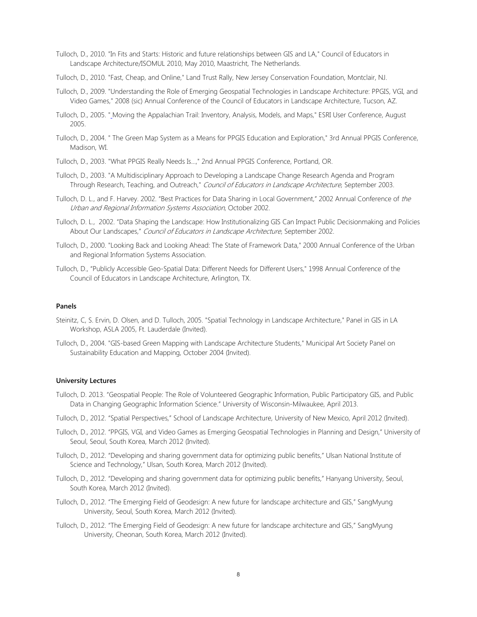- Tulloch, D., 2010. "In Fits and Starts: Historic and future relationships between GIS and LA," Council of Educators in Landscape Architecture/ISOMUL 2010, May 2010, Maastricht, The Netherlands.
- Tulloch, D., 2010. "Fast, Cheap, and Online," Land Trust Rally, New Jersey Conservation Foundation, Montclair, NJ.
- Tulloch, D., 2009. "Understanding the Role of Emerging Geospatial Technologies in Landscape Architecture: PPGIS, VGI, and Video Games," 2008 (sic) Annual Conference of the Council of Educators in Landscape Architecture, Tucson, AZ.
- Tulloch, D., 2005. " Moving the Appalachian Trail: Inventory, Analysis, Models, and Maps," ESRI User Conference, August 2005.
- Tulloch, D., 2004. " The Green Map System as a Means for PPGIS Education and Exploration," 3rd Annual PPGIS Conference, Madison, WI.
- Tulloch, D., 2003. ["What PPGIS Really Needs Is...,"](file:///C:/Users/dtulloch/Documents/Local%20Settings/Temporary%20Internet%20Files/OLK19/http|/deathstar.rutgers.edu/ppgis/Tulloch.PPGIS.2003.htm) 2nd Annual PPGIS Conference, Portland, OR.
- Tulloch, D., 2003. "A Multidisciplinary Approach to Developing a Landscape Change Research Agenda and Program Through Research, Teaching, and Outreach," Council of Educators in Landscape Architecture, September 2003.
- Tulloch, D. L., and F. Harvey. 2002. "Best Practices for Data Sharing in Local Government," 2002 Annual Conference of the Urban and Regional Information Systems Association, October 2002.
- Tulloch, D. L., 2002. "Data Shaping the Landscape: How Institutionalizing GIS Can Impact Public Decisionmaking and Policies About Our Landscapes," Council of Educators in Landscape Architecture, September 2002.
- Tulloch, D., 2000. "Looking Back and Looking Ahead: The State of Framework Data," 2000 Annual Conference of the Urban and Regional Information Systems Association.
- Tulloch, D., "Publicly Accessible Geo-Spatial Data: Different Needs for Different Users," 1998 Annual Conference of the Council of Educators in Landscape Architecture, Arlington, TX.

# **Panels**

- Steinitz, C, S. Ervin, D. Olsen, and D. Tulloch, 2005. "Spatial Technology in Landscape Architecture," Panel in GIS in LA Workshop, ASLA 2005, Ft. Lauderdale (Invited).
- Tulloch, D., 2004. "GIS-based Green Mapping with Landscape Architecture Students," Municipal Art Society Panel on Sustainability Education and Mapping, October 2004 (Invited).

# **University Lectures**

- Tulloch, D. 2013. "Geospatial People: The Role of Volunteered Geographic Information, Public Participatory GIS, and Public Data in Changing Geographic Information Science." University of Wisconsin-Milwaukee, April 2013.
- Tulloch, D., 2012. "Spatial Perspectives," School of Landscape Architecture, University of New Mexico, April 2012 (Invited).
- Tulloch, D., 2012. "PPGIS, VGI, and Video Games as Emerging Geospatial Technologies in Planning and Design," University of Seoul, Seoul, South Korea, March 2012 (Invited).
- Tulloch, D., 2012. "Developing and sharing government data for optimizing public benefits," Ulsan National Institute of Science and Technology," Ulsan, South Korea, March 2012 (Invited).
- Tulloch, D., 2012. "Developing and sharing government data for optimizing public benefits," Hanyang University, Seoul, South Korea, March 2012 (Invited).
- Tulloch, D., 2012. "The Emerging Field of Geodesign: A new future for landscape architecture and GIS," SangMyung University, Seoul, South Korea, March 2012 (Invited).
- Tulloch, D., 2012. "The Emerging Field of Geodesign: A new future for landscape architecture and GIS," SangMyung University, Cheonan, South Korea, March 2012 (Invited).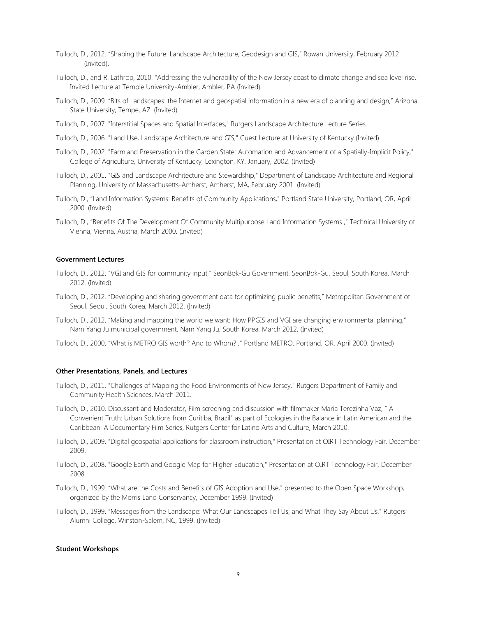- Tulloch, D., 2012. "Shaping the Future: Landscape Architecture, Geodesign and GIS," Rowan University, February 2012 (Invited).
- Tulloch, D., and R. Lathrop, 2010. "Addressing the vulnerability of the New Jersey coast to climate change and sea level rise," Invited Lecture at Temple University-Ambler, Ambler, PA (Invited).
- Tulloch, D., 2009. "Bits of Landscapes: the Internet and geospatial information in a new era of planning and design," Arizona State University, Tempe, AZ. (Invited)
- Tulloch, D., 2007. "Interstitial Spaces and Spatial Interfaces," Rutgers Landscape Architecture Lecture Series.
- Tulloch, D., 2006. "Land Use, Landscape Architecture and GIS," Guest Lecture at University of Kentucky (Invited).
- Tulloch, D., 2002. "Farmland Preservation in the Garden State: Automation and Advancement of a Spatially-Implicit Policy," College of Agriculture, University of Kentucky, Lexington, KY, January, 2002. (Invited)
- Tulloch, D., 2001. "GIS and Landscape Architecture and Stewardship," Department of Landscape Architecture and Regional Planning, University of Massachusetts-Amherst, Amherst, MA, February 2001. (Invited)
- Tulloch, D., "Land Information Systems: Benefits of Community Applications," Portland State University, Portland, OR, April 2000. (Invited)
- Tulloch, D., "Benefits Of The Development Of Community Multipurpose Land Information Systems ," Technical University of Vienna, Vienna, Austria, March 2000. (Invited)

# **Government Lectures**

- Tulloch, D., 2012. "VGI and GIS for community input," SeonBok-Gu Government, SeonBok-Gu, Seoul, South Korea, March 2012. (Invited)
- Tulloch, D., 2012. "Developing and sharing government data for optimizing public benefits," Metropolitan Government of Seoul, Seoul, South Korea, March 2012. (Invited)
- Tulloch, D., 2012. "Making and mapping the world we want: How PPGIS and VGI are changing environmental planning," Nam Yang Ju municipal government, Nam Yang Ju, South Korea, March 2012. (Invited)
- Tulloch, D., 2000. "What is METRO GIS worth? And to Whom? ," Portland METRO, Portland, OR, April 2000. (Invited)

# **Other Presentations, Panels, and Lectures**

- Tulloch, D., 2011. "Challenges of Mapping the Food Environments of New Jersey," Rutgers Department of Family and Community Health Sciences, March 2011.
- Tulloch, D., 2010. Discussant and Moderator, Film screening and discussion with filmmaker Maria Terezinha Vaz, " A Convenient Truth: Urban Solutions from Curitiba, Brazil" as part of Ecologies in the Balance in Latin American and the Caribbean: A Documentary Film Series, Rutgers Center for Latino Arts and Culture, March 2010.
- Tulloch, D., 2009. "Digital geospatial applications for classroom instruction," Presentation at OIRT Technology Fair, December 2009.
- Tulloch, D., 2008. "Google Earth and Google Map for Higher Education," Presentation at OIRT Technology Fair, December 2008.
- Tulloch, D., 1999. "What are the Costs and Benefits of GIS Adoption and Use," presented to the Open Space Workshop, organized by the Morris Land Conservancy, December 1999. (Invited)
- Tulloch, D., 1999. "Messages from the Landscape: What Our Landscapes Tell Us, and What They Say About Us," Rutgers Alumni College, Winston-Salem, NC, 1999. (Invited)

#### **Student Workshops**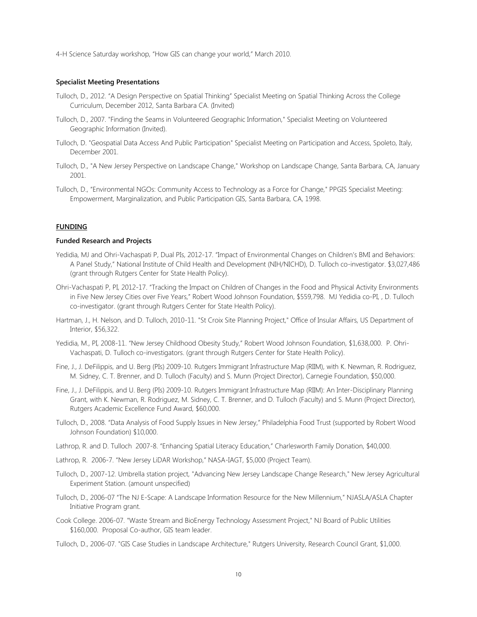4-H Science Saturday workshop, "How GIS can change your world," March 2010.

## **Specialist Meeting Presentations**

- Tulloch, D., 2012. "A Design Perspective on Spatial Thinking" Specialist Meeting on Spatial Thinking Across the College Curriculum, December 2012, Santa Barbara CA. (Invited)
- Tulloch, D., 2007. "Finding the Seams in Volunteered Geographic Information," Specialist Meeting on Volunteered Geographic Information (Invited).
- Tulloch, D. "Geospatial Data Access And Public Participation" Specialist Meeting on Participation and Access, Spoleto, Italy, December 2001.
- Tulloch, D., "A New Jersey Perspective on Landscape Change," Workshop on Landscape Change, Santa Barbara, CA, January 2001.
- Tulloch, D., "Environmental NGOs: Community Access to Technology as a Force for Change," PPGIS Specialist Meeting: Empowerment, Marginalization, and Public Participation GIS, Santa Barbara, CA, 1998.

#### **FUNDING**

# **Funded Research and Projects**

- Yedidia, MJ and Ohri-Vachaspati P, Dual PIs, 2012-17. "Impact of Environmental Changes on Children's BMI and Behaviors: A Panel Study," National Institute of Child Health and Development (NIH/NICHD), D. Tulloch co-investigator. \$3,027,486 (grant through Rutgers Center for State Health Policy).
- Ohri-Vachaspati P, PI, 2012-17. "Tracking the Impact on Children of Changes in the Food and Physical Activity Environments in Five New Jersey Cities over Five Years," Robert Wood Johnson Foundation, \$559,798. MJ Yedidia co-PI, , D. Tulloch co-investigator. (grant through Rutgers Center for State Health Policy).
- Hartman, J., H. Nelson, and D. Tulloch, 2010-11. "St Croix Site Planning Project," Office of Insular Affairs, US Department of Interior, \$56,322.
- Yedidia, M., PI, 2008-11. "New Jersey Childhood Obesity Study," Robert Wood Johnson Foundation, \$1,638,000. P. Ohri-Vachaspati, D. Tulloch co-investigators. (grant through Rutgers Center for State Health Policy).
- Fine, J., J. DeFilippis, and U. Berg (PIs) 2009-10. Rutgers Immigrant Infrastructure Map (RIIM), with K. Newman, R. Rodriguez, M. Sidney, C. T. Brenner, and D. Tulloch (Faculty) and S. Munn (Project Director), Carnegie Foundation, \$50,000.
- Fine, J., J. DeFilippis, and U. Berg (PIs) 2009-10. Rutgers Immigrant Infrastructure Map (RIIM): An Inter-Disciplinary Planning Grant, with K. Newman, R. Rodriguez, M. Sidney, C. T. Brenner, and D. Tulloch (Faculty) and S. Munn (Project Director), Rutgers Academic Excellence Fund Award, \$60,000.
- Tulloch, D., 2008. "Data Analysis of Food Supply Issues in New Jersey," Philadelphia Food Trust (supported by Robert Wood Johnson Foundation) \$10,000.
- Lathrop, R. and D. Tulloch 2007-8. "Enhancing Spatial Literacy Education," Charlesworth Family Donation, \$40,000.
- Lathrop, R. 2006-7. "New Jersey LiDAR Workshop," NASA-IAGT, \$5,000 (Project Team).
- Tulloch, D., 2007-12. Umbrella station project, "Advancing New Jersey Landscape Change Research," New Jersey Agricultural Experiment Station. (amount unspecified)
- Tulloch, D., 2006-07 "The NJ E-Scape: A Landscape Information Resource for the New Millennium," NJASLA/ASLA Chapter Initiative Program grant.
- Cook College. 2006-07. "Waste Stream and BioEnergy Technology Assessment Project," NJ Board of Public Utilities \$160,000. Proposal Co-author, GIS team leader.
- Tulloch, D., 2006-07. "GIS Case Studies in Landscape Architecture," Rutgers University, Research Council Grant, \$1,000.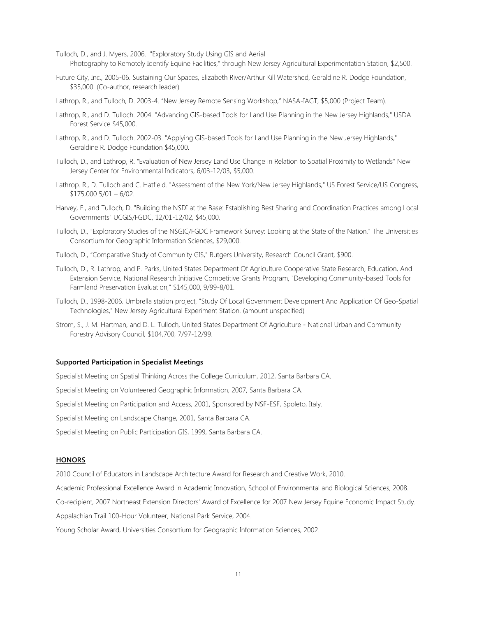Tulloch, D., and J. Myers, 2006. "Exploratory Study Using GIS and Aerial Photography to Remotely Identify Equine Facilities," through New Jersey Agricultural Experimentation Station, \$2,500.

Future City, Inc., 2005-06. Sustaining Our Spaces, Elizabeth River/Arthur Kill Watershed, Geraldine R. Dodge Foundation, \$35,000. (Co-author, research leader)

Lathrop, R., and Tulloch, D. 2003-4. "New Jersey Remote Sensing Workshop," NASA-IAGT, \$5,000 (Project Team).

- Lathrop, R., and D. Tulloch. 2004. "Advancing GIS-based Tools for Land Use Planning in the New Jersey Highlands," USDA Forest Service \$45,000.
- Lathrop, R., and D. Tulloch. 2002-03. "Applying GIS-based Tools for Land Use Planning in the New Jersey Highlands," Geraldine R. Dodge Foundation \$45,000.
- Tulloch, D., and Lathrop, R. "Evaluation of New Jersey Land Use Change in Relation to Spatial Proximity to Wetlands" New Jersey Center for Environmental Indicators, 6/03-12/03, \$5,000.
- Lathrop. R., D. Tulloch and C. Hatfield. "Assessment of the New York/New Jersey Highlands," US Forest Service/US Congress, \$175,000 5/01 – 6/02.
- Harvey, F., and Tulloch, D. "Building the NSDI at the Base: Establishing Best Sharing and Coordination Practices among Local Governments" UCGIS/FGDC, 12/01-12/02, \$45,000.
- Tulloch, D., "Exploratory Studies of the NSGIC/FGDC Framework Survey: Looking at the State of the Nation," The Universities Consortium for Geographic Information Sciences, \$29,000.
- Tulloch, D., "Comparative Study of Community GIS," Rutgers University, Research Council Grant, \$900.
- Tulloch, D., R. Lathrop, and P. Parks, United States Department Of Agriculture Cooperative State Research, Education, And Extension Service, National Research Initiative Competitive Grants Program, "Developing Community-based Tools for Farmland Preservation Evaluation," \$145,000, 9/99-8/01.
- Tulloch, D., 1998-2006. Umbrella station project, "Study Of Local Government Development And Application Of Geo-Spatial Technologies," New Jersey Agricultural Experiment Station. (amount unspecified)
- Strom, S., J. M. Hartman, and D. L. Tulloch, United States Department Of Agriculture National Urban and Community Forestry Advisory Council, \$104,700, 7/97-12/99.

# **Supported Participation in Specialist Meetings**

Specialist Meeting on Spatial Thinking Across the College Curriculum, 2012, Santa Barbara CA.

Specialist Meeting on Volunteered Geographic Information, 2007, Santa Barbara CA.

Specialist Meeting on Participation and Access, 2001, Sponsored by NSF-ESF, Spoleto, Italy.

Specialist Meeting on Landscape Change, 2001, Santa Barbara CA.

Specialist Meeting on Public Participation GIS, 1999, Santa Barbara CA.

### **HONORS**

2010 Council of Educators in Landscape Architecture Award for Research and Creative Work, 2010.

Academic Professional Excellence Award in Academic Innovation, School of Environmental and Biological Sciences, 2008.

Co-recipient, 2007 Northeast Extension Directors' Award of Excellence for 2007 New Jersey Equine Economic Impact Study.

Appalachian Trail 100-Hour Volunteer, National Park Service, 2004.

Young Scholar Award, Universities Consortium for Geographic Information Sciences, 2002.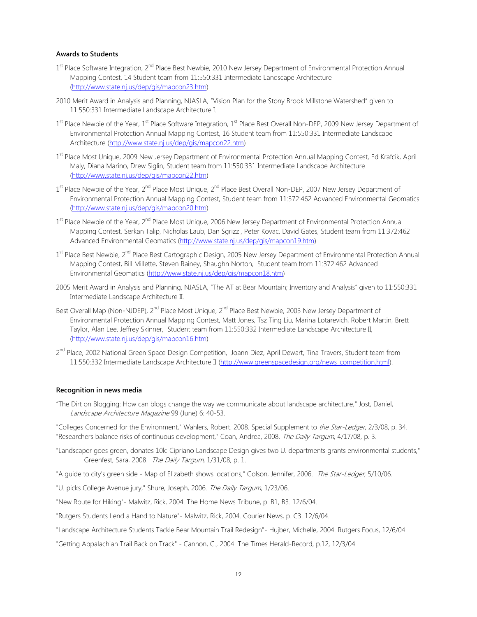# **Awards to Students**

- 1<sup>st</sup> Place Software Integration, 2<sup>nd</sup> Place Best Newbie, 2010 New Jersey Department of Environmental Protection Annual Mapping Contest, 14 Student team from 11:550:331 Intermediate Landscape Architecture [\(http://www.state.nj.us/dep/gis/mapcon23.htm\)](http://www.state.nj.us/dep/gis/mapcon23.htm)
- 2010 Merit Award in Analysis and Planning, NJASLA, "Vision Plan for the Stony Brook Millstone Watershed" given to 11:550:331 Intermediate Landscape Architecture I.
- 1<sup>st</sup> Place Newbie of the Year, 1<sup>st</sup> Place Software Integration, 1<sup>st</sup> Place Best Overall Non-DEP, 2009 New Jersey Department of Environmental Protection Annual Mapping Contest, 16 Student team from 11:550:331 Intermediate Landscape Architecture [\(http://www.state.nj.us/dep/gis/mapcon22.htm\)](http://www.state.nj.us/dep/gis/mapcon22.htm)
- 1<sup>st</sup> Place Most Unique, 2009 New Jersey Department of Environmental Protection Annual Mapping Contest, Ed Krafcik, April Maly, Diana Marino, Drew Siglin, Student team from 11:550:331 Intermediate Landscape Architecture [\(http://www.state.nj.us/dep/gis/mapcon22.htm\)](http://www.state.nj.us/dep/gis/mapcon22.htm)
- 1<sup>st</sup> Place Newbie of the Year, 2<sup>nd</sup> Place Most Unique, 2<sup>nd</sup> Place Best Overall Non-DEP, 2007 New Jersey Department of Environmental Protection Annual Mapping Contest, Student team from 11:372:462 Advanced Environmental Geomatics [\(http://www.state.nj.us/dep/gis/mapcon20.htm\)](http://www.state.nj.us/dep/gis/mapcon20.htm)
- 1<sup>st</sup> Place Newbie of the Year, 2<sup>nd</sup> Place Most Unique, 2006 New Jersey Department of Environmental Protection Annual Mapping Contest, Serkan Talip, Nicholas Laub, Dan Sgrizzi, Peter Kovac, David Gates, Student team from 11:372:462 Advanced Environmental Geomatics [\(http://www.state.nj.us/dep/gis/mapcon19.htm\)](http://www.state.nj.us/dep/gis/mapcon19.htm)
- 1<sup>st</sup> Place Best Newbie, 2<sup>nd</sup> Place Best Cartographic Design, 2005 New Jersey Department of Environmental Protection Annual Mapping Contest, Bill Millette, Steven Rainey, Shaughn Norton, Student team from 11:372:462 Advanced Environmental Geomatics [\(http://www.state.nj.us/dep/gis/mapcon18.htm\)](http://www.state.nj.us/dep/gis/mapcon18.htm)
- 2005 Merit Award in Analysis and Planning, NJASLA, "The AT at Bear Mountain; Inventory and Analysis" given to 11:550:331 Intermediate Landscape Architecture II.
- Best Overall Map (Non-NJDEP), 2<sup>nd</sup> Place Most Unique, 2<sup>nd</sup> Place Best Newbie, 2003 New Jersey Department of Environmental Protection Annual Mapping Contest, Matt Jones, Tsz Ting Liu, Marina Lotarevich, Robert Martin, Brett Taylor, Alan Lee, Jeffrey Skinner, Student team from 11:550:332 Intermediate Landscape Architecture II, [\(http://www.state.nj.us/dep/gis/mapcon16.htm\)](http://www.state.nj.us/dep/gis/mapcon16.htm)
- 2<sup>nd</sup> Place, 2002 National Green Space Design Competition, Joann Diez, April Dewart, Tina Travers, Student team from 11:550:332 Intermediate Landscape Architecture II [\(http://www.greenspacedesign.org/news\\_competition.html\)](http://www.greenspacedesign.org/news_competition.html).

#### **Recognition in news media**

"The Dirt on Blogging: How can blogs change the way we communicate about landscape architecture," Jost, Daniel, Landscape Architecture Magazine 99 (June) 6: 40-53.

"Colleges Concerned for the Environment," Wahlers, Robert. 2008. Special Supplement to the Star-Ledger, 2/3/08, p. 34. "Researchers balance risks of continuous development," Coan, Andrea, 2008. The Daily Targum, 4/17/08, p. 3.

- "Landscaper goes green, donates 10k: Cipriano Landscape Design gives two U. departments grants environmental students," Greenfest, Sara, 2008. The Daily Targum, 1/31/08, p. 1.
- "A guide to city's green side Map of Elizabeth shows locations," Golson, Jennifer, 2006. The Star-Ledger, 5/10/06.
- "U. picks College Avenue jury," Shure, Joseph, 2006. The Daily Targum, 1/23/06.

"New Route for Hiking"- Malwitz, Rick, 2004. The Home News Tribune, p. B1, B3. 12/6/04.

"Rutgers Students Lend a Hand to Nature"- Malwitz, Rick, 2004. Courier News, p. C3. 12/6/04.

"Landscape Architecture Students Tackle Bear Mountain Trail Redesign"- Hujber, Michelle, 2004. Rutgers Focus, 12/6/04.

"Getting Appalachian Trail Back on Track" - Cannon, G., 2004. The Times Herald-Record, p.12, 12/3/04.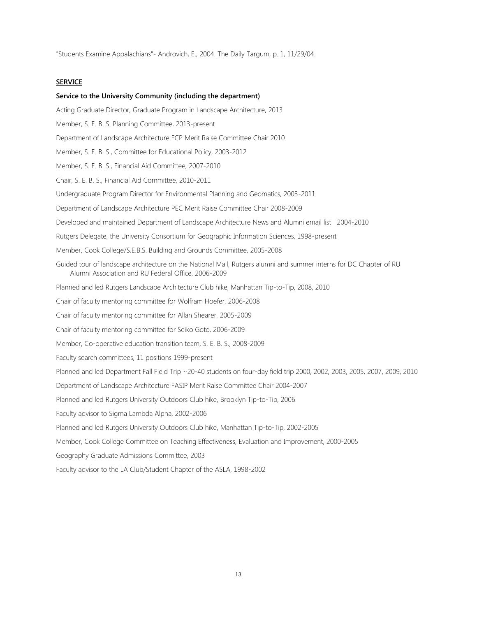"Students Examine Appalachians"- Androvich, E., 2004. The Daily Targum, p. 1, 11/29/04.

### **SERVICE**

#### **Service to the University Community (including the department)**

Acting Graduate Director, Graduate Program in Landscape Architecture, 2013 Member, S. E. B. S. Planning Committee, 2013-present Department of Landscape Architecture FCP Merit Raise Committee Chair 2010 Member, S. E. B. S., Committee for Educational Policy, 2003-2012 Member, S. E. B. S., Financial Aid Committee, 2007-2010 Chair, S. E. B. S., Financial Aid Committee, 2010-2011 Undergraduate Program Director for Environmental Planning and Geomatics, 2003-2011 Department of Landscape Architecture PEC Merit Raise Committee Chair 2008-2009 Developed and maintained Department of Landscape Architecture News and Alumni email list 2004-2010 Rutgers Delegate, the University Consortium for Geographic Information Sciences, 1998-present Member, Cook College/S.E.B.S. Building and Grounds Committee, 2005-2008 Guided tour of landscape architecture on the National Mall, Rutgers alumni and summer interns for DC Chapter of RU Alumni Association and RU Federal Office, 2006-2009 Planned and led Rutgers Landscape Architecture Club hike, Manhattan Tip-to-Tip, 2008, 2010 Chair of faculty mentoring committee for Wolfram Hoefer, 2006-2008 Chair of faculty mentoring committee for Allan Shearer, 2005-2009 Chair of faculty mentoring committee for Seiko Goto, 2006-2009 Member, Co-operative education transition team, S. E. B. S., 2008-2009 Faculty search committees, 11 positions 1999-present Planned and led Department Fall Field Trip ~20-40 students on four-day field trip 2000, 2002, 2003, 2005, 2007, 2009, 2010 Department of Landscape Architecture FASIP Merit Raise Committee Chair 2004-2007 Planned and led Rutgers University Outdoors Club hike, Brooklyn Tip-to-Tip, 2006 Faculty advisor to Sigma Lambda Alpha, 2002-2006 Planned and led Rutgers University Outdoors Club hike, Manhattan Tip-to-Tip, 2002-2005 Member, Cook College Committee on Teaching Effectiveness, Evaluation and Improvement, 2000-2005 Geography Graduate Admissions Committee, 2003 Faculty advisor to the LA Club/Student Chapter of the ASLA, 1998-2002